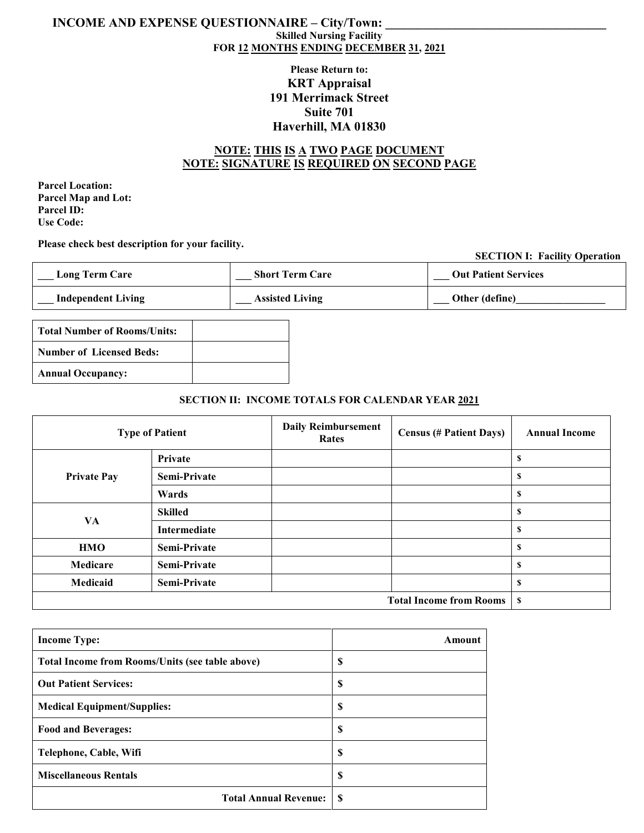### **INCOME AND EXPENSE QUESTIONNAIRE – City/Town: Skilled Nursing Facility FOR 12 MONTHS ENDING DECEMBER 31, 2021**

## **Please Return to: KRT Appraisal 191 Merrimack Street Suite 701 Haverhill, MA 01830**

## **NOTE: THIS IS A TWO PAGE DOCUMENT NOTE: SIGNATURE IS REQUIRED ON SECOND PAGE**

**Parcel Location: Parcel Map and Lot: Parcel ID: Use Code:**

**Please check best description for your facility.**

#### **SECTION I: Facility Operation**

| <b>Long Term Care</b>     | <b>Short Term Care</b> | <b>Out Patient Services</b> |
|---------------------------|------------------------|-----------------------------|
| <b>Independent Living</b> | <b>Assisted Living</b> | Other (define)              |

| Total Number of Rooms/Units: |  |
|------------------------------|--|
| Number of Licensed Beds:     |  |
| <b>Annual Occupancy:</b>     |  |

### **SECTION II: INCOME TOTALS FOR CALENDAR YEAR 2021**

|                    | <b>Type of Patient</b> | <b>Daily Reimbursement</b><br>Rates | <b>Census (# Patient Days)</b> | <b>Annual Income</b> |
|--------------------|------------------------|-------------------------------------|--------------------------------|----------------------|
|                    | Private                |                                     |                                | S                    |
| <b>Private Pay</b> | Semi-Private           |                                     |                                | \$                   |
|                    | Wards                  |                                     |                                | S                    |
| VA                 | <b>Skilled</b>         |                                     |                                | S                    |
|                    | Intermediate           |                                     |                                | S                    |
| <b>HMO</b>         | Semi-Private           |                                     |                                | \$                   |
| Medicare           | Semi-Private           |                                     |                                | S                    |
| Medicaid           | Semi-Private           |                                     |                                | S                    |
|                    |                        |                                     | <b>Total Income from Rooms</b> | - \$                 |

| <b>Income Type:</b>                                    | Amount |
|--------------------------------------------------------|--------|
| <b>Total Income from Rooms/Units (see table above)</b> | \$     |
| <b>Out Patient Services:</b>                           | \$     |
| <b>Medical Equipment/Supplies:</b>                     | \$     |
| <b>Food and Beverages:</b>                             | S      |
| Telephone, Cable, Wifi                                 | \$     |
| <b>Miscellaneous Rentals</b>                           | \$     |
| <b>Total Annual Revenue:</b>                           | S      |